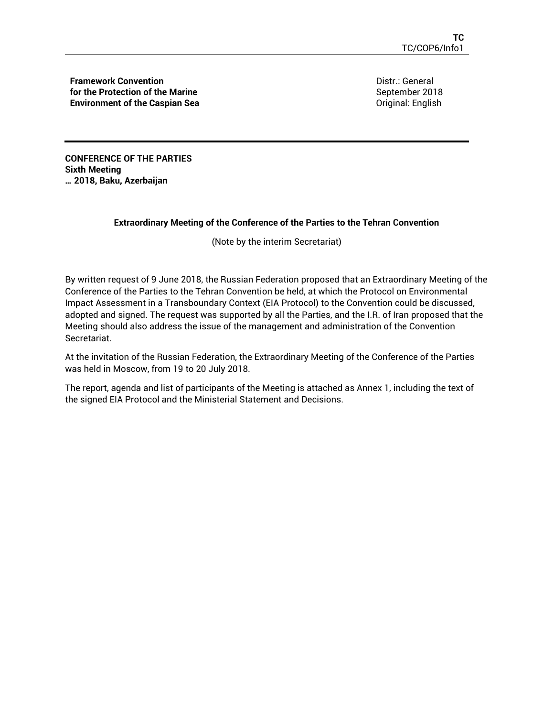**Framework Convention for the Protection of the Marine Environment of the Caspian Sea** Distr.: General September 2018 Original: English

**CONFERENCE OF THE PARTIES Sixth Meeting … 2018, Baku, Azerbaijan** 

#### **Extraordinary Meeting of the Conference of the Parties to the Tehran Convention**

(Note by the interim Secretariat)

By written request of 9 June 2018, the Russian Federation proposed that an Extraordinary Meeting of the Conference of the Parties to the Tehran Convention be held, at which the Protocol on Environmental Impact Assessment in a Transboundary Context (EIA Protocol) to the Convention could be discussed, adopted and signed. The request was supported by all the Parties, and the I.R. of Iran proposed that the Meeting should also address the issue of the management and administration of the Convention Secretariat.

At the invitation of the Russian Federation, the Extraordinary Meeting of the Conference of the Parties was held in Moscow, from 19 to 20 July 2018.

The report, agenda and list of participants of the Meeting is attached as Annex 1, including the text of the signed EIA Protocol and the Ministerial Statement and Decisions.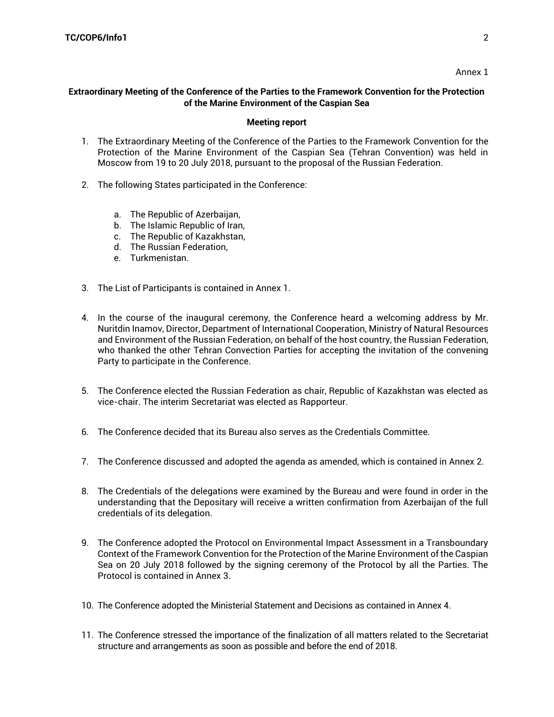#### Annex 1

#### **Extraordinary Meeting of the Conference of the Parties to the Framework Convention for the Protection of the Marine Environment of the Caspian Sea**

#### **Meeting report**

- 1. The Extraordinary Meeting of the Conference of the Parties to the Framework Convention for the Protection of the Marine Environment of the Caspian Sea (Tehran Convention) was held in Moscow from 19 to 20 July 2018, pursuant to the proposal of the Russian Federation.
- 2. The following States participated in the Conference:
	- a. The Republic of Azerbaijan,
	- b. The Islamic Republic of Iran,
	- c. The Republic of Kazakhstan,
	- d. The Russian Federation,
	- e. Turkmenistan.
- 3. The List of Participants is contained in Annex 1.
- 4. In the course of the inaugural ceremony, the Conference heard a welcoming address by Mr. Nuritdin Inamov, Director, Department of International Cooperation, Ministry of Natural Resources and Environment of the Russian Federation, on behalf of the host country, the Russian Federation, who thanked the other Tehran Convection Parties for accepting the invitation of the convening Party to participate in the Conference.
- 5. The Conference elected the Russian Federation as chair, Republic of Kazakhstan was elected as vice-chair. The interim Secretariat was elected as Rapporteur.
- 6. The Conference decided that its Bureau also serves as the Credentials Committee.
- 7. The Conference discussed and adopted the agenda as amended, which is contained in Annex 2.
- 8. The Credentials of the delegations were examined by the Bureau and were found in order in the understanding that the Depositary will receive a written confirmation from Azerbaijan of the full credentials of its delegation.
- 9. The Conference adopted the Protocol on Environmental Impact Assessment in a Transboundary Context of the Framework Convention for the Protection of the Marine Environment of the Caspian Sea on 20 July 2018 followed by the signing ceremony of the Protocol by all the Parties. The Protocol is contained in Annex 3.
- 10. The Conference adopted the Ministerial Statement and Decisions as contained in Annex 4.
- 11. The Conference stressed the importance of the finalization of all matters related to the Secretariat structure and arrangements as soon as possible and before the end of 2018.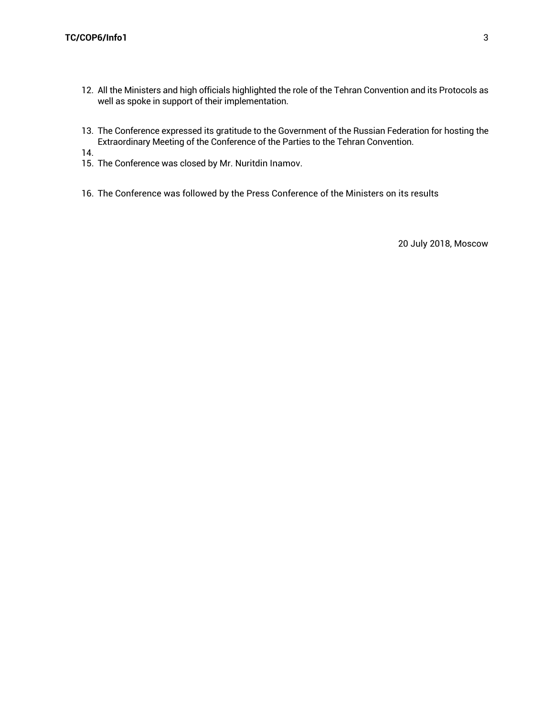- 12. All the Ministers and high officials highlighted the role of the Tehran Convention and its Protocols as well as spoke in support of their implementation.
- 13. The Conference expressed its gratitude to the Government of the Russian Federation for hosting the Extraordinary Meeting of the Conference of the Parties to the Tehran Convention.
- 14.
- 15. The Conference was closed by Mr. Nuritdin Inamov.
- 16. The Conference was followed by the Press Conference of the Ministers on its results

20 July 2018, Moscow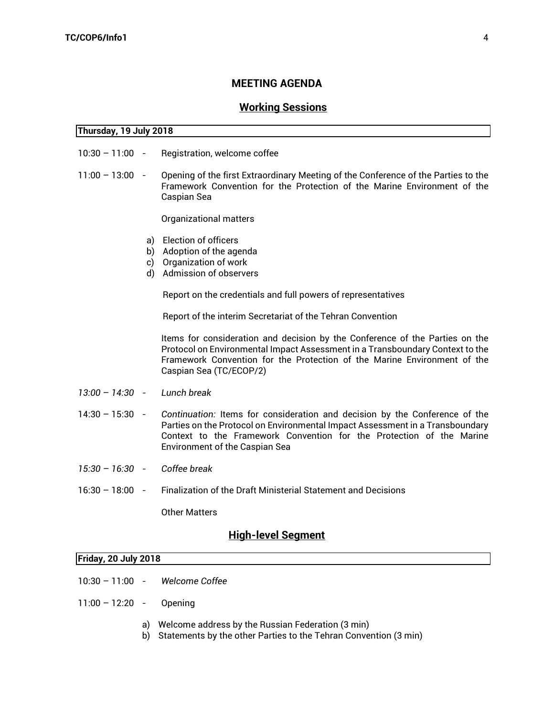#### **MEETING AGENDA**

## **Working Sessions**

#### **Thursday, 19 July 2018**

- 10:30 11:00 Registration, welcome coffee
- 11:00 13:00 Opening of the first Extraordinary Meeting of the Conference of the Parties to the Framework Convention for the Protection of the Marine Environment of the Caspian Sea

Organizational matters

- a) Election of officers
- b) Adoption of the agenda
- c) Organization of work
- d) Admission of observers

Report on the credentials and full powers of representatives

Report of the interim Secretariat of the Tehran Convention

Items for consideration and decision by the Conference of the Parties on the Protocol on Environmental Impact Assessment in a Transboundary Context to the Framework Convention for the Protection of the Marine Environment of the Caspian Sea (TC/ECOP/2)

- *13:00 14:30 - Lunch break*
- 14:30 15:30 *Continuation:* Items for consideration and decision by the Conference of the Parties on the Protocol on Environmental Impact Assessment in a Transboundary Context to the Framework Convention for the Protection of the Marine Environment of the Caspian Sea
- *15:30 – 16:30 - Coffee break*
- 16:30 18:00 Finalization of the Draft Ministerial Statement and Decisions

Other Matters

#### **High-level Segment**

| <b>Friday, 20 July 2018</b> |  |  |
|-----------------------------|--|--|
|                             |  |  |

- 10:30 11:00 *Welcome Coffee*
- 11:00 12:20 Opening
	- a) Welcome address by the Russian Federation (3 min)
	- b) Statements by the other Parties to the Tehran Convention (3 min)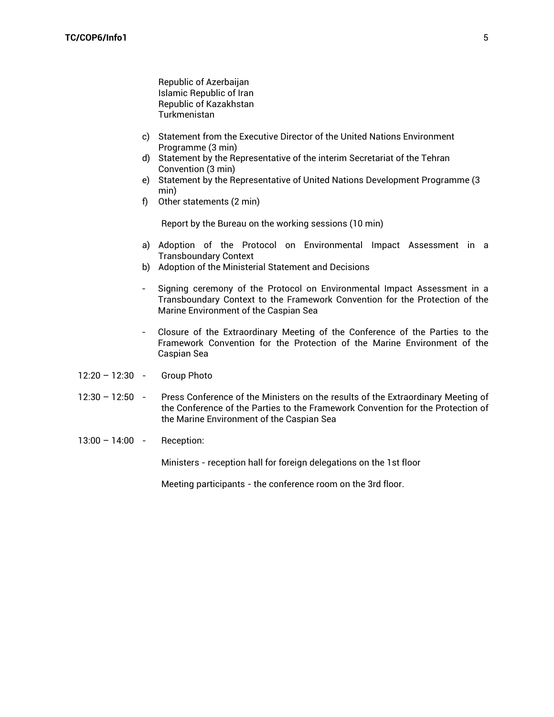Republic of Azerbaijan Islamic Republic of Iran Republic of Kazakhstan Turkmenistan

- c) Statement from the Executive Director of the United Nations Environment Programme (3 min)
- d) Statement by the Representative of the interim Secretariat of the Tehran Convention (3 min)
- e) Statement by the Representative of United Nations Development Programme (3 min)
- f) Other statements (2 min)

Report by the Bureau on the working sessions (10 min)

- a) Adoption of the Protocol on Environmental Impact Assessment in a Transboundary Context
- b) Adoption of the Ministerial Statement and Decisions
- Signing ceremony of the Protocol on Environmental Impact Assessment in a Transboundary Context to the Framework Convention for the Protection of the Marine Environment of the Caspian Sea
- Closure of the Extraordinary Meeting of the Conference of the Parties to the Framework Convention for the Protection of the Marine Environment of the Caspian Sea
- 12:20 12:30 Group Photo
- 12:30 12:50 Press Conference of the Ministers on the results of the Extraordinary Meeting of the Conference of the Parties to the Framework Convention for the Protection of the Marine Environment of the Caspian Sea
- 13:00 14:00 Reception:

Ministers - reception hall for foreign delegations on the 1st floor

Meeting participants - the conference room on the 3rd floor.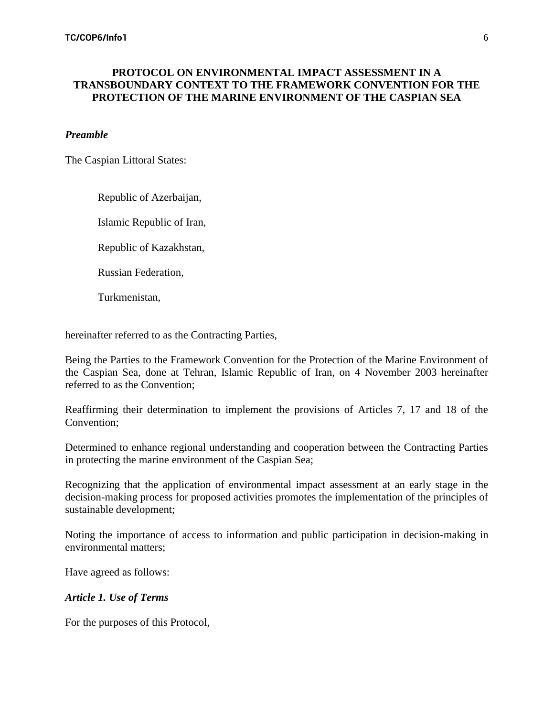## **PROTOCOL ON ENVIRONMENTAL IMPACT ASSESSMENT IN A TRANSBOUNDARY CONTEXT TO THE FRAMEWORK CONVENTION FOR THE PROTECTION OF THE MARINE ENVIRONMENT OF THE CASPIAN SEA**

#### *Preamble*

The Caspian Littoral States:

Republic of Azerbaijan,

Islamic Republic of Iran,

Republic of Kazakhstan,

Russian Federation,

Turkmenistan,

hereinafter referred to as the Contracting Parties,

Being the Parties to the Framework Convention for the Protection of the Marine Environment of the Caspian Sea, done at Tehran, Islamic Republic of Iran, on 4 November 2003 hereinafter referred to as the Convention;

Reaffirming their determination to implement the provisions of Articles 7, 17 and 18 of the Convention;

Determined to enhance regional understanding and cooperation between the Contracting Parties in protecting the marine environment of the Caspian Sea;

Recognizing that the application of environmental impact assessment at an early stage in the decision-making process for proposed activities promotes the implementation of the principles of sustainable development;

Noting the importance of access to information and public participation in decision-making in environmental matters;

Have agreed as follows:

#### *Article 1. Use of Terms*

For the purposes of this Protocol,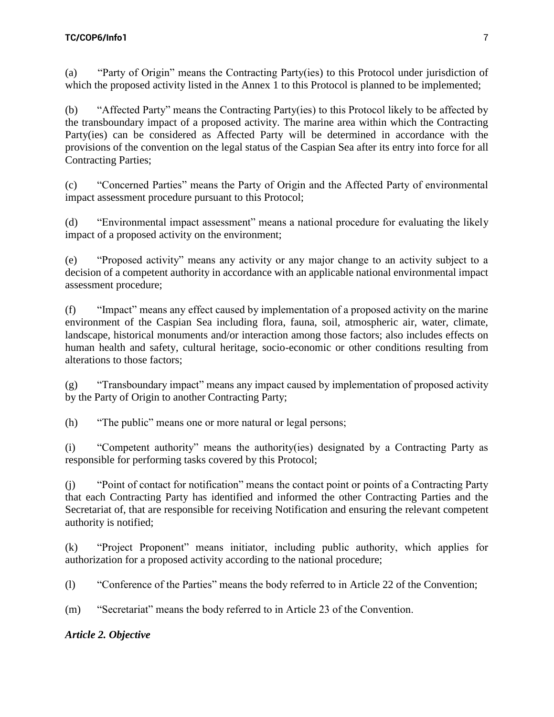(a) "Party of Origin" means the Contracting Party(ies) to this Protocol under jurisdiction of which the proposed activity listed in the Annex 1 to this Protocol is planned to be implemented;

(b) "Affected Party" means the Contracting Party(ies) to this Protocol likely to be affected by the transboundary impact of a proposed activity. The marine area within which the Contracting Party(ies) can be considered as Affected Party will be determined in accordance with the provisions of the convention on the legal status of the Caspian Sea after its entry into force for all Contracting Parties;

(c) "Concerned Parties" means the Party of Origin and the Affected Party of environmental impact assessment procedure pursuant to this Protocol;

(d) "Environmental impact assessment" means a national procedure for evaluating the likely impact of a proposed activity on the environment;

(e) "Proposed activity" means any activity or any major change to an activity subject to a decision of a competent authority in accordance with an applicable national environmental impact assessment procedure;

(f) "Impact" means any effect caused by implementation of a proposed activity on the marine environment of the Caspian Sea including flora, fauna, soil, atmospheric air, water, climate, landscape, historical monuments and/or interaction among those factors; also includes effects on human health and safety, cultural heritage, socio-economic or other conditions resulting from alterations to those factors;

(g) "Transboundary impact" means any impact caused by implementation of proposed activity by the Party of Origin to another Contracting Party;

(h) "The public" means one or more natural or legal persons;

(i) "Competent authority" means the authority(ies) designated by a Contracting Party as responsible for performing tasks covered by this Protocol;

(j) "Point of contact for notification" means the contact point or points of a Contracting Party that each Contracting Party has identified and informed the other Contracting Parties and the Secretariat of, that are responsible for receiving Notification and ensuring the relevant competent authority is notified;

(k) "Project Proponent" means initiator, including public authority, which applies for authorization for a proposed activity according to the national procedure;

(l) "Conference of the Parties" means the body referred to in Article 22 of the Convention;

(m) "Secretariat" means the body referred to in Article 23 of the Convention.

# *Article 2. Objective*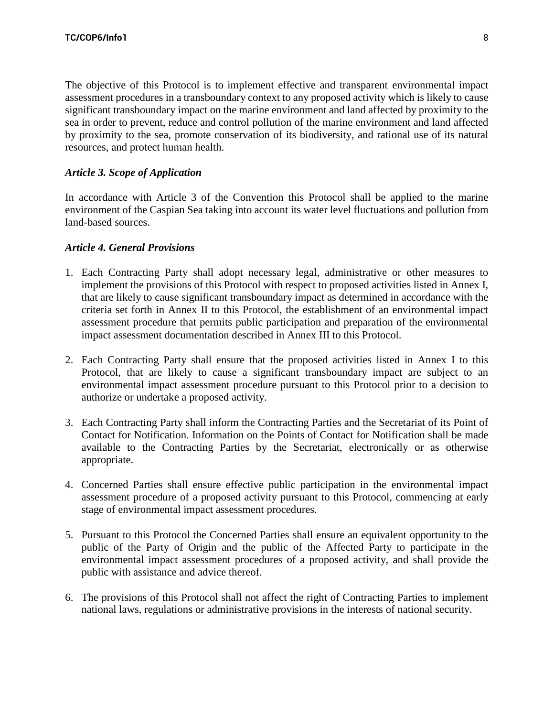The objective of this Protocol is to implement effective and transparent environmental impact assessment procedures in a transboundary context to any proposed activity which is likely to cause significant transboundary impact on the marine environment and land affected by proximity to the sea in order to prevent, reduce and control pollution of the marine environment and land affected by proximity to the sea, promote conservation of its biodiversity, and rational use of its natural resources, and protect human health.

## *Article 3. Scope of Application*

In accordance with Article 3 of the Convention this Protocol shall be applied to the marine environment of the Caspian Sea taking into account its water level fluctuations and pollution from land-based sources.

#### *Article 4. General Provisions*

- 1. Each Contracting Party shall adopt necessary legal, administrative or other measures to implement the provisions of this Protocol with respect to proposed activities listed in Annex I, that are likely to cause significant transboundary impact as determined in accordance with the criteria set forth in Annex II to this Protocol, the establishment of an environmental impact assessment procedure that permits public participation and preparation of the environmental impact assessment documentation described in Annex III to this Protocol.
- 2. Each Contracting Party shall ensure that the proposed activities listed in Annex I to this Protocol, that are likely to cause a significant transboundary impact are subject to an environmental impact assessment procedure pursuant to this Protocol prior to a decision to authorize or undertake a proposed activity.
- 3. Each Contracting Party shall inform the Contracting Parties and the Secretariat of its Point of Contact for Notification. Information on the Points of Contact for Notification shall be made available to the Contracting Parties by the Secretariat, electronically or as otherwise appropriate.
- 4. Concerned Parties shall ensure effective public participation in the environmental impact assessment procedure of a proposed activity pursuant to this Protocol, commencing at early stage of environmental impact assessment procedures.
- 5. Pursuant to this Protocol the Concerned Parties shall ensure an equivalent opportunity to the public of the Party of Origin and the public of the Affected Party to participate in the environmental impact assessment procedures of a proposed activity, and shall provide the public with assistance and advice thereof.
- 6. The provisions of this Protocol shall not affect the right of Contracting Parties to implement national laws, regulations or administrative provisions in the interests of national security.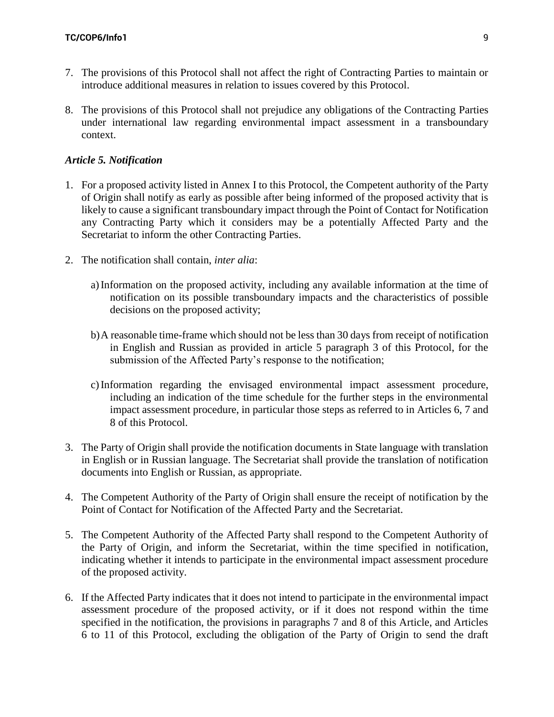- 7. The provisions of this Protocol shall not affect the right of Contracting Parties to maintain or introduce additional measures in relation to issues covered by this Protocol.
- 8. The provisions of this Protocol shall not prejudice any obligations of the Contracting Parties under international law regarding environmental impact assessment in a transboundary context.

#### *Article 5. Notification*

- 1. For a proposed activity listed in Annex I to this Protocol, the Competent authority of the Party of Origin shall notify as early as possible after being informed of the proposed activity that is likely to cause a significant transboundary impact through the Point of Contact for Notification any Contracting Party which it considers may be a potentially Affected Party and the Secretariat to inform the other Contracting Parties.
- 2. The notification shall contain, *inter alia*:
	- a)Information on the proposed activity, including any available information at the time of notification on its possible transboundary impacts and the characteristics of possible decisions on the proposed activity;
	- b)A reasonable time-frame which should not be less than 30 days from receipt of notification in English and Russian as provided in article 5 paragraph 3 of this Protocol, for the submission of the Affected Party's response to the notification;
	- c)Information regarding the envisaged environmental impact assessment procedure, including an indication of the time schedule for the further steps in the environmental impact assessment procedure, in particular those steps as referred to in Articles 6, 7 and 8 of this Protocol.
- 3. The Party of Origin shall provide the notification documents in State language with translation in English or in Russian language. The Secretariat shall provide the translation of notification documents into English or Russian, as appropriate.
- 4. The Competent Authority of the Party of Origin shall ensure the receipt of notification by the Point of Contact for Notification of the Affected Party and the Secretariat.
- 5. The Competent Authority of the Affected Party shall respond to the Competent Authority of the Party of Origin, and inform the Secretariat, within the time specified in notification, indicating whether it intends to participate in the environmental impact assessment procedure of the proposed activity.
- 6. If the Affected Party indicates that it does not intend to participate in the environmental impact assessment procedure of the proposed activity, or if it does not respond within the time specified in the notification, the provisions in paragraphs 7 and 8 of this Article, and Articles 6 to 11 of this Protocol, excluding the obligation of the Party of Origin to send the draft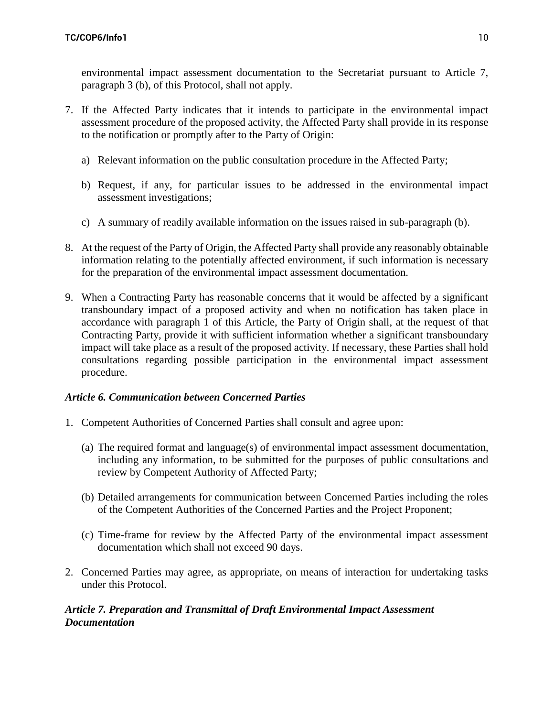environmental impact assessment documentation to the Secretariat pursuant to Article 7, paragraph 3 (b), of this Protocol, shall not apply.

- 7. If the Affected Party indicates that it intends to participate in the environmental impact assessment procedure of the proposed activity, the Affected Party shall provide in its response to the notification or promptly after to the Party of Origin:
	- a) Relevant information on the public consultation procedure in the Affected Party;
	- b) Request, if any, for particular issues to be addressed in the environmental impact assessment investigations;
	- c) A summary of readily available information on the issues raised in sub-paragraph (b).
- 8. At the request of the Party of Origin, the Affected Party shall provide any reasonably obtainable information relating to the potentially affected environment, if such information is necessary for the preparation of the environmental impact assessment documentation.
- 9. When a Contracting Party has reasonable concerns that it would be affected by a significant transboundary impact of a proposed activity and when no notification has taken place in accordance with paragraph 1 of this Article, the Party of Origin shall, at the request of that Contracting Party, provide it with sufficient information whether a significant transboundary impact will take place as a result of the proposed activity. If necessary, these Parties shall hold consultations regarding possible participation in the environmental impact assessment procedure.

## *Article 6. Communication between Concerned Parties*

- 1. Competent Authorities of Concerned Parties shall consult and agree upon:
	- (a) The required format and language(s) of environmental impact assessment documentation, including any information, to be submitted for the purposes of public consultations and review by Competent Authority of Affected Party;
	- (b) Detailed arrangements for communication between Concerned Parties including the roles of the Competent Authorities of the Concerned Parties and the Project Proponent;
	- (c) Time-frame for review by the Affected Party of the environmental impact assessment documentation which shall not exceed 90 days.
- 2. Concerned Parties may agree, as appropriate, on means of interaction for undertaking tasks under this Protocol.

# *Article 7. Preparation and Transmittal of Draft Environmental Impact Assessment Documentation*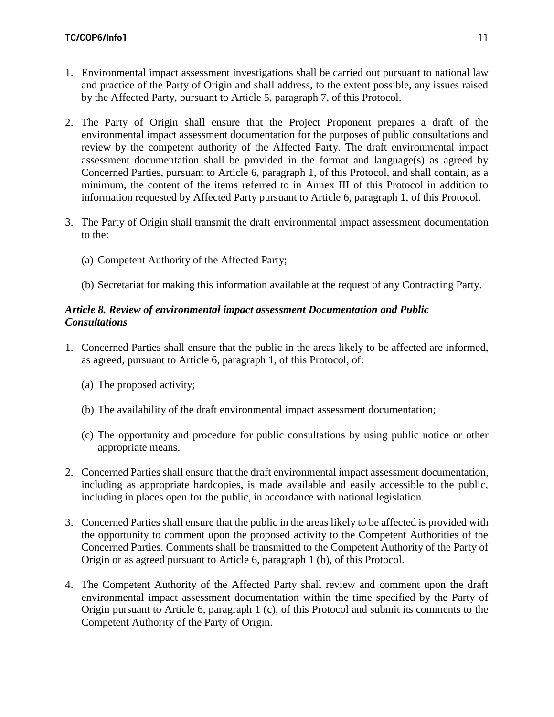- 1. Environmental impact assessment investigations shall be carried out pursuant to national law and practice of the Party of Origin and shall address, to the extent possible, any issues raised by the Affected Party, pursuant to Article 5, paragraph 7, of this Protocol.
- 2. The Party of Origin shall ensure that the Project Proponent prepares a draft of the environmental impact assessment documentation for the purposes of public consultations and review by the competent authority of the Affected Party. The draft environmental impact assessment documentation shall be provided in the format and language(s) as agreed by Concerned Parties, pursuant to Article 6, paragraph 1, of this Protocol, and shall contain, as a minimum, the content of the items referred to in Annex III of this Protocol in addition to information requested by Affected Party pursuant to Article 6, paragraph 1, of this Protocol.
- 3. The Party of Origin shall transmit the draft environmental impact assessment documentation to the:
	- (a) Competent Authority of the Affected Party;
	- (b) Secretariat for making this information available at the request of any Contracting Party.

## *Article 8. Review of environmental impact assessment Documentation and Public Consultations*

- 1. Concerned Parties shall ensure that the public in the areas likely to be affected are informed, as agreed, pursuant to Article 6, paragraph 1, of this Protocol, of:
	- (a) The proposed activity;
	- (b) The availability of the draft environmental impact assessment documentation;
	- (c) The opportunity and procedure for public consultations by using public notice or other appropriate means.
- 2. Concerned Parties shall ensure that the draft environmental impact assessment documentation, including as appropriate hardcopies, is made available and easily accessible to the public, including in places open for the public, in accordance with national legislation.
- 3. Concerned Parties shall ensure that the public in the areas likely to be affected is provided with the opportunity to comment upon the proposed activity to the Competent Authorities of the Concerned Parties. Comments shall be transmitted to the Competent Authority of the Party of Origin or as agreed pursuant to Article 6, paragraph 1 (b), of this Protocol.
- 4. The Competent Authority of the Affected Party shall review and comment upon the draft environmental impact assessment documentation within the time specified by the Party of Origin pursuant to Article 6, paragraph 1 (c), of this Protocol and submit its comments to the Competent Authority of the Party of Origin.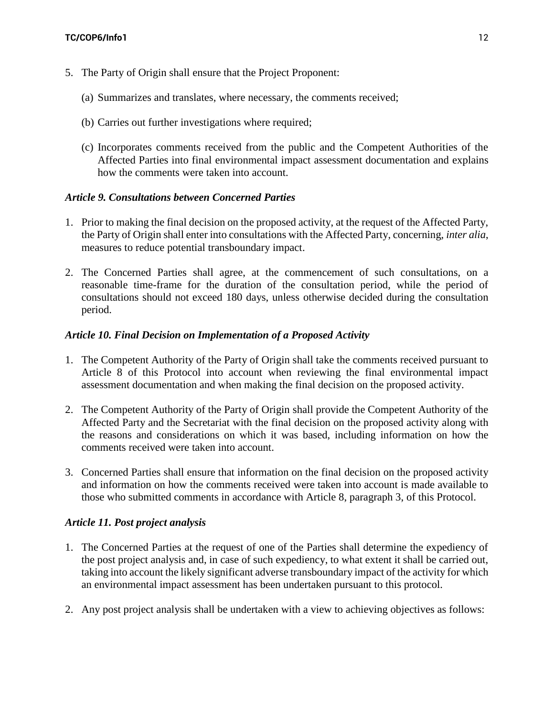- 5. The Party of Origin shall ensure that the Project Proponent:
	- (a) Summarizes and translates, where necessary, the comments received;
	- (b) Carries out further investigations where required;
	- (c) Incorporates comments received from the public and the Competent Authorities of the Affected Parties into final environmental impact assessment documentation and explains how the comments were taken into account.

## *Article 9. Consultations between Concerned Parties*

- 1. Prior to making the final decision on the proposed activity, at the request of the Affected Party, the Party of Origin shall enter into consultations with the Affected Party, concerning, *inter alia*, measures to reduce potential transboundary impact.
- 2. The Concerned Parties shall agree, at the commencement of such consultations, on a reasonable time-frame for the duration of the consultation period, while the period of consultations should not exceed 180 days, unless otherwise decided during the consultation period.

## *Article 10. Final Decision on Implementation of a Proposed Activity*

- 1. The Competent Authority of the Party of Origin shall take the comments received pursuant to Article 8 of this Protocol into account when reviewing the final environmental impact assessment documentation and when making the final decision on the proposed activity.
- 2. The Competent Authority of the Party of Origin shall provide the Competent Authority of the Affected Party and the Secretariat with the final decision on the proposed activity along with the reasons and considerations on which it was based, including information on how the comments received were taken into account.
- 3. Concerned Parties shall ensure that information on the final decision on the proposed activity and information on how the comments received were taken into account is made available to those who submitted comments in accordance with Article 8, paragraph 3, of this Protocol.

# *Article 11. Post project analysis*

- 1. The Concerned Parties at the request of one of the Parties shall determine the expediency of the post project analysis and, in case of such expediency, to what extent it shall be carried out, taking into account the likely significant adverse transboundary impact of the activity for which an environmental impact assessment has been undertaken pursuant to this protocol.
- 2. Any post project analysis shall be undertaken with a view to achieving objectives as follows: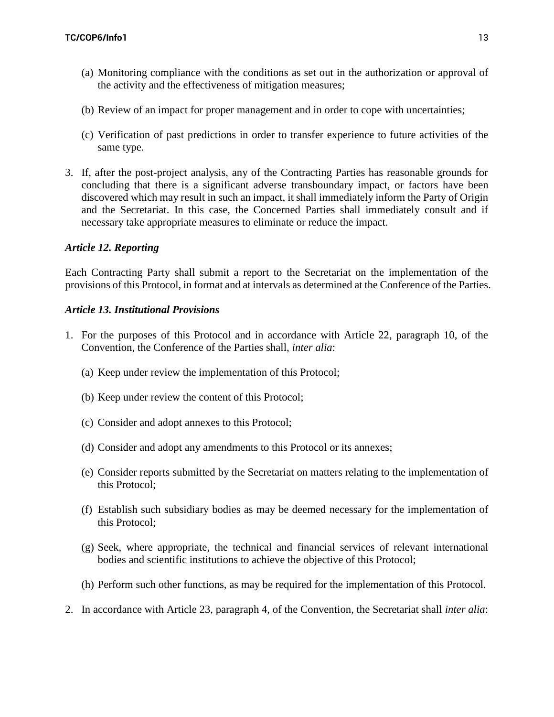- (a) Monitoring compliance with the conditions as set out in the authorization or approval of the activity and the effectiveness of mitigation measures;
- (b) Review of an impact for proper management and in order to cope with uncertainties;
- (c) Verification of past predictions in order to transfer experience to future activities of the same type.
- 3. If, after the post-project analysis, any of the Contracting Parties has reasonable grounds for concluding that there is a significant adverse transboundary impact, or factors have been discovered which may result in such an impact, it shall immediately inform the Party of Origin and the Secretariat. In this case, the Concerned Parties shall immediately consult and if necessary take appropriate measures to eliminate or reduce the impact.

# *Article 12. Reporting*

Each Contracting Party shall submit a report to the Secretariat on the implementation of the provisions of this Protocol, in format and at intervals as determined at the Conference of the Parties.

## *Article 13. Institutional Provisions*

- 1. For the purposes of this Protocol and in accordance with Article 22, paragraph 10, of the Convention, the Conference of the Parties shall, *inter alia*:
	- (a) Keep under review the implementation of this Protocol;
	- (b) Keep under review the content of this Protocol;
	- (c) Consider and adopt annexes to this Protocol;
	- (d) Consider and adopt any amendments to this Protocol or its annexes;
	- (e) Consider reports submitted by the Secretariat on matters relating to the implementation of this Protocol;
	- (f) Establish such subsidiary bodies as may be deemed necessary for the implementation of this Protocol;
	- (g) Seek, where appropriate, the technical and financial services of relevant international bodies and scientific institutions to achieve the objective of this Protocol;
	- (h) Perform such other functions, as may be required for the implementation of this Protocol.
- 2. In accordance with Article 23, paragraph 4, of the Convention, the Secretariat shall *inter alia*: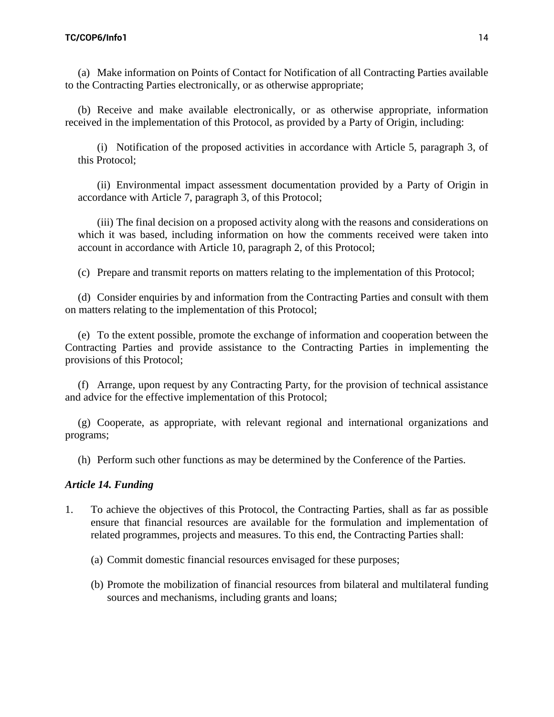(a) Make information on Points of Contact for Notification of all Contracting Parties available to the Contracting Parties electronically, or as otherwise appropriate;

(b) Receive and make available electronically, or as otherwise appropriate, information received in the implementation of this Protocol, as provided by a Party of Origin, including:

(i) Notification of the proposed activities in accordance with Article 5, paragraph 3, of this Protocol;

(ii) Environmental impact assessment documentation provided by a Party of Origin in accordance with Article 7, paragraph 3, of this Protocol;

(iii) The final decision on a proposed activity along with the reasons and considerations on which it was based, including information on how the comments received were taken into account in accordance with Article 10, paragraph 2, of this Protocol;

(c) Prepare and transmit reports on matters relating to the implementation of this Protocol;

(d) Consider enquiries by and information from the Contracting Parties and consult with them on matters relating to the implementation of this Protocol;

(e) To the extent possible, promote the exchange of information and cooperation between the Contracting Parties and provide assistance to the Contracting Parties in implementing the provisions of this Protocol;

(f) Arrange, upon request by any Contracting Party, for the provision of technical assistance and advice for the effective implementation of this Protocol;

(g) Cooperate, as appropriate, with relevant regional and international organizations and programs;

(h) Perform such other functions as may be determined by the Conference of the Parties.

## *Article 14. Funding*

- 1. To achieve the objectives of this Protocol, the Contracting Parties, shall as far as possible ensure that financial resources are available for the formulation and implementation of related programmes, projects and measures. To this end, the Contracting Parties shall:
	- (a) Commit domestic financial resources envisaged for these purposes;
	- (b) Promote the mobilization of financial resources from bilateral and multilateral funding sources and mechanisms, including grants and loans;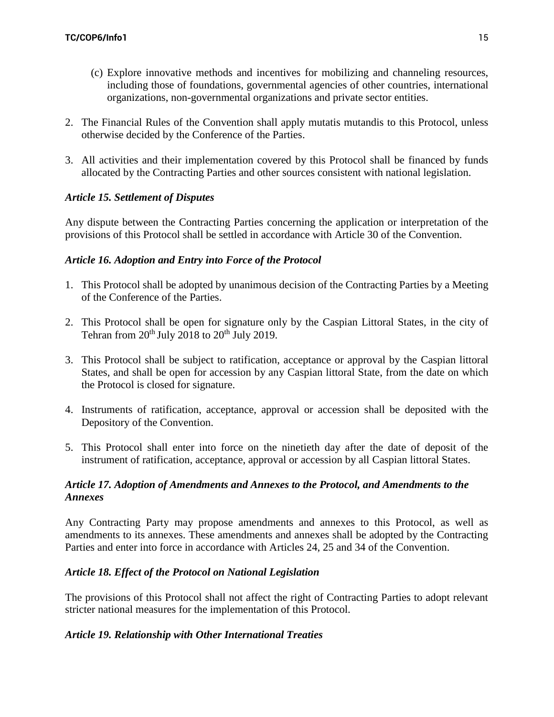- (c) Explore innovative methods and incentives for mobilizing and channeling resources, including those of foundations, governmental agencies of other countries, international organizations, non-governmental organizations and private sector entities.
- 2. The Financial Rules of the Convention shall apply mutatis mutandis to this Protocol, unless otherwise decided by the Conference of the Parties.
- 3. All activities and their implementation covered by this Protocol shall be financed by funds allocated by the Contracting Parties and other sources consistent with national legislation.

# *Article 15. Settlement of Disputes*

Any dispute between the Contracting Parties concerning the application or interpretation of the provisions of this Protocol shall be settled in accordance with Article 30 of the Convention.

## *Article 16. Adoption and Entry into Force of the Protocol*

- 1. This Protocol shall be adopted by unanimous decision of the Contracting Parties by a Meeting of the Conference of the Parties.
- 2. This Protocol shall be open for signature only by the Caspian Littoral States, in the city of Tehran from  $20^{th}$  July  $2018$  to  $20^{th}$  July 2019.
- 3. This Protocol shall be subject to ratification, acceptance or approval by the Caspian littoral States, and shall be open for accession by any Caspian littoral State, from the date on which the Protocol is closed for signature.
- 4. Instruments of ratification, acceptance, approval or accession shall be deposited with the Depository of the Convention.
- 5. This Protocol shall enter into force on the ninetieth day after the date of deposit of the instrument of ratification, acceptance, approval or accession by all Caspian littoral States.

## *Article 17. Adoption of Amendments and Annexes to the Protocol, and Amendments to the Annexes*

Any Contracting Party may propose amendments and annexes to this Protocol, as well as amendments to its annexes. These amendments and annexes shall be adopted by the Contracting Parties and enter into force in accordance with Articles 24, 25 and 34 of the Convention.

## *Article 18. Effect of the Protocol on National Legislation*

The provisions of this Protocol shall not affect the right of Contracting Parties to adopt relevant stricter national measures for the implementation of this Protocol.

## *Article 19. Relationship with Other International Treaties*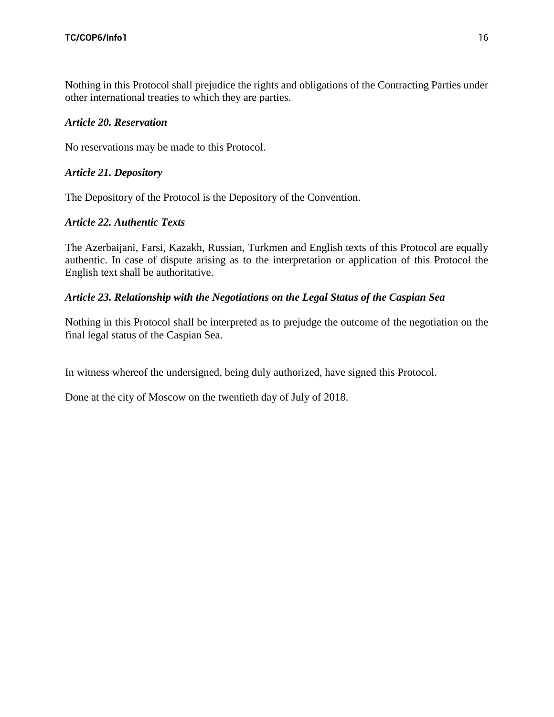Nothing in this Protocol shall prejudice the rights and obligations of the Contracting Parties under other international treaties to which they are parties.

## *Article 20. Reservation*

No reservations may be made to this Protocol.

## *Article 21. Depository*

The Depository of the Protocol is the Depository of the Convention.

## *Article 22. Authentic Texts*

The Azerbaijani, Farsi, Kazakh, Russian, Turkmen and English texts of this Protocol are equally authentic. In case of dispute arising as to the interpretation or application of this Protocol the English text shall be authoritative.

## *Article 23. Relationship with the Negotiations on the Legal Status of the Caspian Sea*

Nothing in this Protocol shall be interpreted as to prejudge the outcome of the negotiation on the final legal status of the Caspian Sea.

In witness whereof the undersigned, being duly authorized, have signed this Protocol.

Done at the city of Moscow on the twentieth day of July of 2018.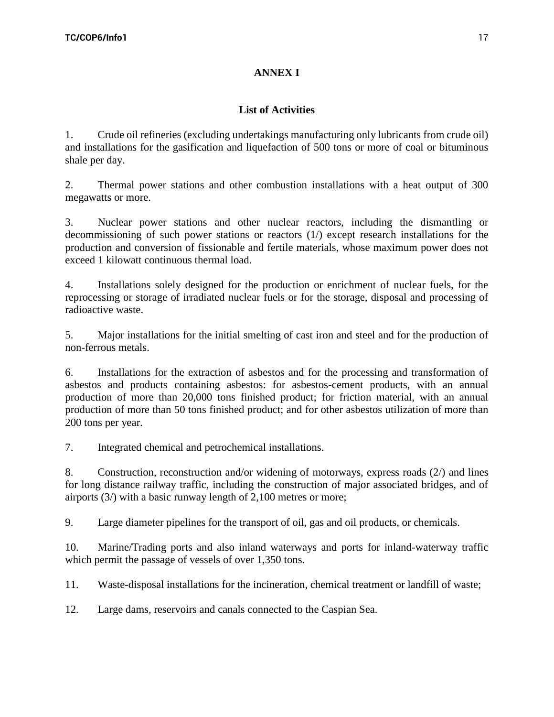# **ANNEX I**

# **List of Activities**

1. Crude oil refineries (excluding undertakings manufacturing only lubricants from crude oil) and installations for the gasification and liquefaction of 500 tons or more of coal or bituminous shale per day.

2. Thermal power stations and other combustion installations with a heat output of 300 megawatts or more.

3. Nuclear power stations and other nuclear reactors, including the dismantling or decommissioning of such power stations or reactors (1/) except research installations for the production and conversion of fissionable and fertile materials, whose maximum power does not exceed 1 kilowatt continuous thermal load.

4. Installations solely designed for the production or enrichment of nuclear fuels, for the reprocessing or storage of irradiated nuclear fuels or for the storage, disposal and processing of radioactive waste.

5. Major installations for the initial smelting of cast iron and steel and for the production of non-ferrous metals.

6. Installations for the extraction of asbestos and for the processing and transformation of asbestos and products containing asbestos: for asbestos-cement products, with an annual production of more than 20,000 tons finished product; for friction material, with an annual production of more than 50 tons finished product; and for other asbestos utilization of more than 200 tons per year.

7. Integrated chemical and petrochemical installations.

8. Construction, reconstruction and/or widening of motorways, express roads (2/) and lines for long distance railway traffic, including the construction of major associated bridges, and of airports (3/) with a basic runway length of 2,100 metres or more;

9. Large diameter pipelines for the transport of oil, gas and oil products, or chemicals.

10. Marine/Trading ports and also inland waterways and ports for inland-waterway traffic which permit the passage of vessels of over 1,350 tons.

11. Waste-disposal installations for the incineration, chemical treatment or landfill of waste;

12. Large dams, reservoirs and canals connected to the Caspian Sea.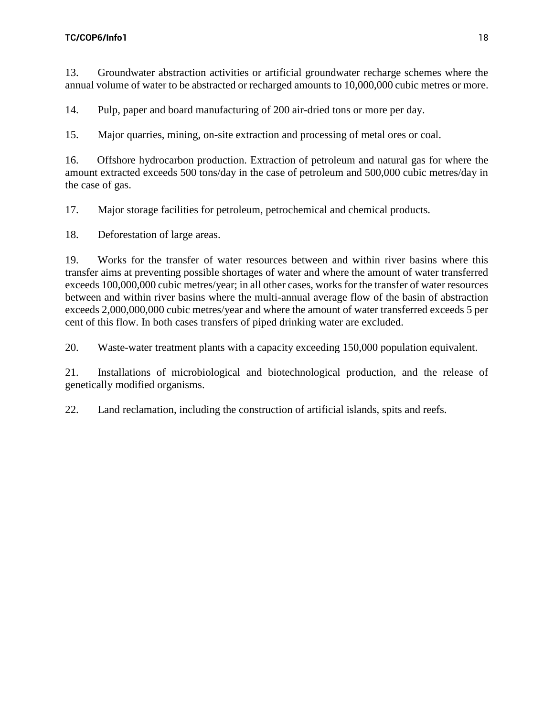13. Groundwater abstraction activities or artificial groundwater recharge schemes where the annual volume of water to be abstracted or recharged amounts to 10,000,000 cubic metres or more.

14. Pulp, paper and board manufacturing of 200 air-dried tons or more per day.

15. Major quarries, mining, on-site extraction and processing of metal ores or coal.

16. Offshore hydrocarbon production. Extraction of petroleum and natural gas for where the amount extracted exceeds 500 tons/day in the case of petroleum and 500,000 cubic metres/day in the case of gas.

17. Major storage facilities for petroleum, petrochemical and chemical products.

18. Deforestation of large areas.

19. Works for the transfer of water resources between and within river basins where this transfer aims at preventing possible shortages of water and where the amount of water transferred exceeds 100,000,000 cubic metres/year; in all other cases, works for the transfer of water resources between and within river basins where the multi-annual average flow of the basin of abstraction exceeds 2,000,000,000 cubic metres/year and where the amount of water transferred exceeds 5 per cent of this flow. In both cases transfers of piped drinking water are excluded.

20. Waste-water treatment plants with a capacity exceeding 150,000 population equivalent.

21. Installations of microbiological and biotechnological production, and the release of genetically modified organisms.

22. Land reclamation, including the construction of artificial islands, spits and reefs.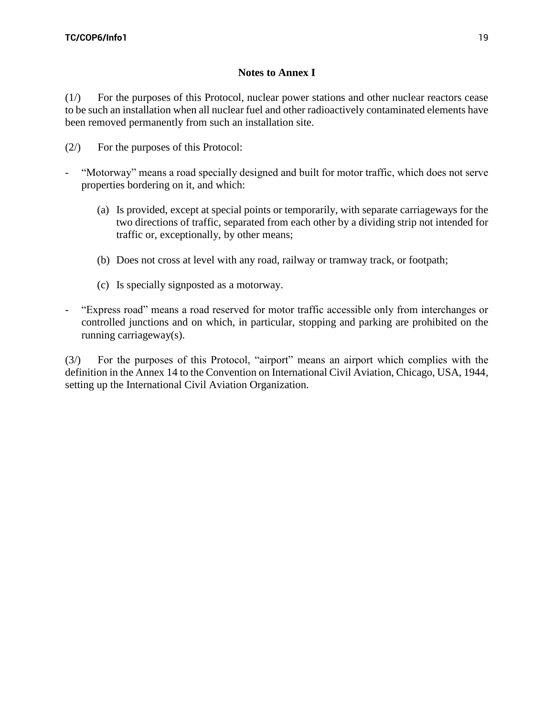# **Notes to Annex I**

(1/) For the purposes of this Protocol, nuclear power stations and other nuclear reactors cease to be such an installation when all nuclear fuel and other radioactively contaminated elements have been removed permanently from such an installation site.

- (2/) For the purposes of this Protocol:
- "Motorway" means a road specially designed and built for motor traffic, which does not serve properties bordering on it, and which:
	- (a) Is provided, except at special points or temporarily, with separate carriageways for the two directions of traffic, separated from each other by a dividing strip not intended for traffic or, exceptionally, by other means;
	- (b) Does not cross at level with any road, railway or tramway track, or footpath;
	- (c) Is specially signposted as a motorway.
- "Express road" means a road reserved for motor traffic accessible only from interchanges or controlled junctions and on which, in particular, stopping and parking are prohibited on the running carriageway(s).

(3/) For the purposes of this Protocol, "airport" means an airport which complies with the definition in the Аnnex 14 to the Convention on International Civil Aviation, Chicago, USA, 1944, setting up the International Civil Aviation Organization.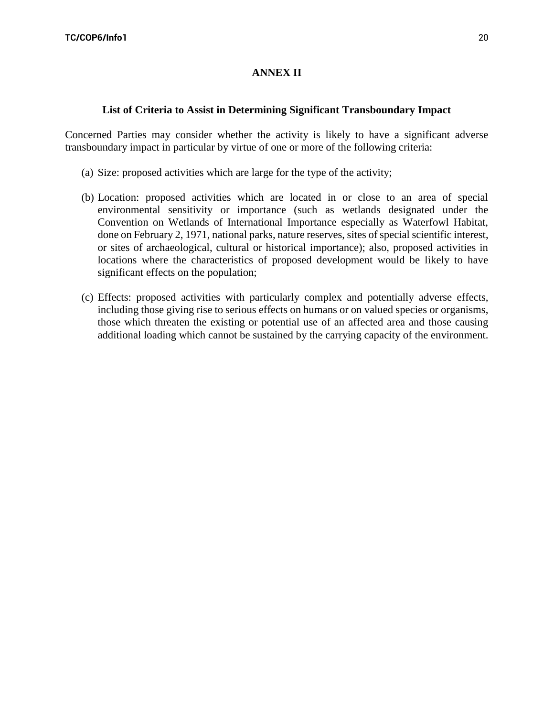# **ANNEX II**

## **List of Criteria to Assist in Determining Significant Transboundary Impact**

Concerned Parties may consider whether the activity is likely to have a significant adverse transboundary impact in particular by virtue of one or more of the following criteria:

- (a) Size: proposed activities which are large for the type of the activity;
- (b) Location: proposed activities which are located in or close to an area of special environmental sensitivity or importance (such as wetlands designated under the Convention on Wetlands of International Importance especially as Waterfowl Habitat, done on February 2, 1971, national parks, nature reserves, sites of special scientific interest, or sites of archaeological, cultural or historical importance); also, proposed activities in locations where the characteristics of proposed development would be likely to have significant effects on the population;
- (c) Effects: proposed activities with particularly complex and potentially adverse effects, including those giving rise to serious effects on humans or on valued species or organisms, those which threaten the existing or potential use of an affected area and those causing additional loading which cannot be sustained by the carrying capacity of the environment.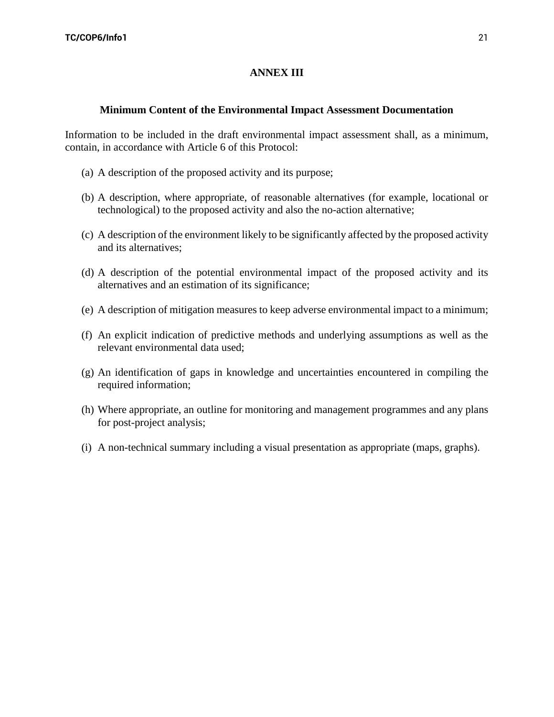## **ANNEX III**

#### **Minimum Content of the Environmental Impact Assessment Documentation**

Information to be included in the draft environmental impact assessment shall, as a minimum, contain, in accordance with Article 6 of this Protocol:

- (a) A description of the proposed activity and its purpose;
- (b) A description, where appropriate, of reasonable alternatives (for example, locational or technological) to the proposed activity and also the no-action alternative;
- (c) A description of the environment likely to be significantly affected by the proposed activity and its alternatives;
- (d) A description of the potential environmental impact of the proposed activity and its alternatives and an estimation of its significance;
- (e) A description of mitigation measures to keep adverse environmental impact to a minimum;
- (f) An explicit indication of predictive methods and underlying assumptions as well as the relevant environmental data used;
- (g) An identification of gaps in knowledge and uncertainties encountered in compiling the required information;
- (h) Where appropriate, an outline for monitoring and management programmes and any plans for post-project analysis;
- (i) A non-technical summary including a visual presentation as appropriate (maps, graphs).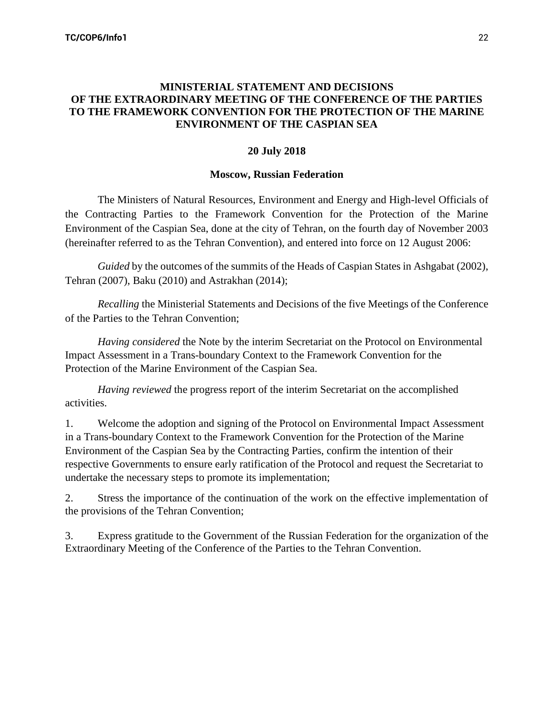## **MINISTERIAL STATEMENT AND DECISIONS OF THE EXTRAORDINARY MEETING OF THE CONFERENCE OF THE PARTIES TO THE FRAMEWORK CONVENTION FOR THE PROTECTION OF THE MARINE ENVIRONMENT OF THE CASPIAN SEA**

## **20 July 2018**

## **Moscow, Russian Federation**

The Ministers of Natural Resources, Environment and Energy and High-level Officials of the Contracting Parties to the Framework Convention for the Protection of the Marine Environment of the Caspian Sea, done at the city of Tehran, on the fourth day of November 2003 (hereinafter referred to as the Tehran Convention), and entered into force on 12 August 2006:

*Guided* by the outcomes of the summits of the Heads of Caspian States in Ashgabat (2002), Tehran (2007), Baku (2010) and Astrakhan (2014);

*Recalling* the Ministerial Statements and Decisions of the five Meetings of the Conference of the Parties to the Tehran Convention;

*Having considered* the Note by the interim Secretariat on the Protocol on Environmental Impact Assessment in a Trans-boundary Context to the Framework Convention for the Protection of the Marine Environment of the Caspian Sea.

*Having reviewed* the progress report of the interim Secretariat on the accomplished activities.

1. Welcome the adoption and signing of the Protocol on Environmental Impact Assessment in a Trans-boundary Context to the Framework Convention for the Protection of the Marine Environment of the Caspian Sea by the Contracting Parties, confirm the intention of their respective Governments to ensure early ratification of the Protocol and request the Secretariat to undertake the necessary steps to promote its implementation;

2. Stress the importance of the continuation of the work on the effective implementation of the provisions of the Tehran Convention;

3. Express gratitude to the Government of the Russian Federation for the organization of the Extraordinary Meeting of the Conference of the Parties to the Tehran Convention.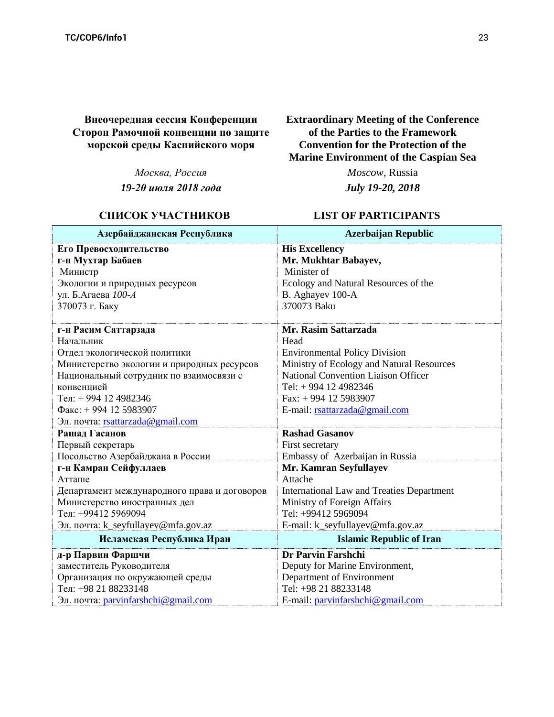**Внеочередная сессия Конференции Сторон Рамочной конвенции по защите морской среды Каспийского моря**

*Москва, Россия*

*19-20 июля 2018 года*

# **СПИСОК УЧАСТНИКОВ LIST OF PARTICIPANTS**

**Extraordinary Meeting of the Conference of the Parties to the Framework Convention for the Protection of the Marine Environment of the Caspian Sea**

*Moscow,* Russia

*July 19-20, 2018*

| Азербайджанская Республика                   | <b>Azerbaijan Republic</b>                       |  |
|----------------------------------------------|--------------------------------------------------|--|
| Его Превосходительство                       | <b>His Excellency</b>                            |  |
| г-н Мухтар Бабаев                            | Mr. Mukhtar Babayev,                             |  |
| Министр                                      | Minister of                                      |  |
| Экологии и природных ресурсов                | Ecology and Natural Resources of the             |  |
| ул. Б.Агаева 100-А                           | B. Aghayev 100-A                                 |  |
| 370073 г. Баку                               | 370073 Baku                                      |  |
|                                              |                                                  |  |
| г-н Расим Саттарзада                         | Mr. Rasim Sattarzada                             |  |
| Начальник                                    | Head                                             |  |
| Отдел экологической политики                 | <b>Environmental Policy Division</b>             |  |
| Министерство экологии и природных ресурсов   | Ministry of Ecology and Natural Resources        |  |
| Национальный сотрудник по взаимосвязи с      | <b>National Convention Liaison Officer</b>       |  |
| конвенцией                                   | Tel: + 994 12 4982346                            |  |
| Тел: +994 12 4982346                         | Fax: $+994$ 12 5983907                           |  |
| $\Phi$ акс: +994 12 5983907                  | E-mail: rsattarzada@gmail.com                    |  |
| Эл. почта: rsattarzada@gmail.com             |                                                  |  |
| Рашад Гасанов                                | <b>Rashad Gasanov</b>                            |  |
| Первый секретарь                             | First secretary                                  |  |
| Посольство Азербайджана в России             | Embassy of Azerbaijan in Russia                  |  |
| г-н Камран Сейфуллаев                        | Mr. Kamran Seyfullayev                           |  |
| ATTalle                                      | Attache                                          |  |
| Департамент международного права и договоров | <b>International Law and Treaties Department</b> |  |
| Министерство иностранных дел                 | Ministry of Foreign Affairs                      |  |
| Тел: +99412 5969094                          | Tel: +99412 5969094                              |  |
| Эл. почта: k_seyfullayev@mfa.gov.az          | E-mail: k_seyfullayev@mfa.gov.az                 |  |
| Исламская Республика Иран                    | <b>Islamic Republic of Iran</b>                  |  |
| д-р Парвин Фаршчи                            | Dr Parvin Farshchi                               |  |
| заместитель Руководителя                     | Deputy for Marine Environment,                   |  |
| Организация по окружающей среды              | Department of Environment                        |  |
| Тел: +98 21 88233148                         | Tel: +98 21 88233148                             |  |
| Эл. почта: parvinfarshchi@gmail.com          | E-mail: parvinfarshchi@gmail.com                 |  |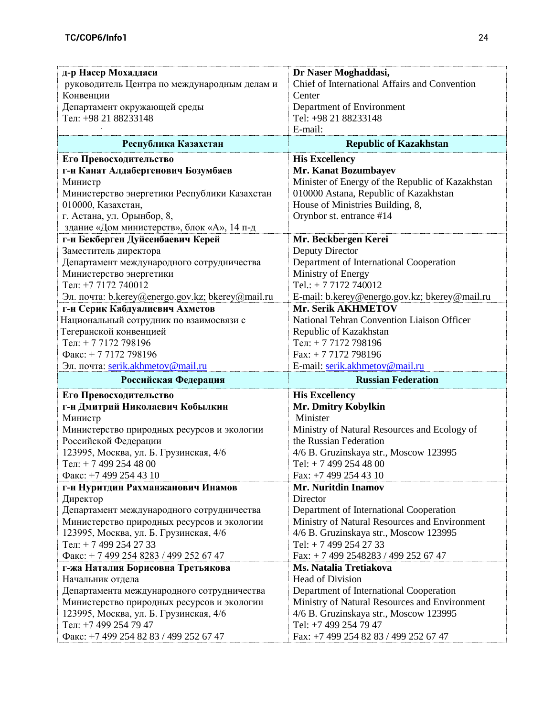| Chief of International Affairs and Convention<br>руководитель Центра по международным делам и<br>Конвенции<br>Center<br>Департамент окружающей среды<br>Department of Environment<br>Тел: +98 21 88233148<br>Tel: +98 21 88233148<br>E-mail:<br>Республика Казахстан<br><b>Republic of Kazakhstan</b><br><b>His Excellency</b><br>Его Превосходительство<br>г-н Канат Алдабергенович Бозумбаев<br>Mr. Kanat Bozumbayev<br>Minister of Energy of the Republic of Kazakhstan<br>Министр<br>010000 Astana, Republic of Kazakhstan<br>Министерство энергетики Республики Казахстан<br>010000, Казахстан,<br>House of Ministries Building, 8,<br>г. Астана, ул. Орынбор, 8,<br>Orynbor st. entrance #14<br>здание «Дом министерств», блок «А», 14 п-д<br>г-н Бекберген Дуйсенбаевич Керей<br>Mr. Beckbergen Kerei<br>Заместитель директора<br>Deputy Director<br>Департамент международного сотрудничества<br>Department of International Cooperation<br>Министерство энергетики<br>Ministry of Energy<br>Тел: +7 7172 740012<br>Tel.: $+ 77172740012$<br>Эл. почта: b.kerey@energo.gov.kz; bkerey@mail.ru<br>E-mail: b.kerey@energo.gov.kz; bkerey@mail.ru<br>Mr. Serik AKHMETOV<br>г-н Серик Кабдуалиевич Ахметов<br>Национальный сотрудник по взаимосвязи с<br>National Tehran Convention Liaison Officer<br>Тегеранской конвенцией<br>Republic of Kazakhstan<br>Тел: +77172798196<br>Тел: +77172798196<br>$\Phi$ акс: + 7 7172 798196<br>Fax: $+ 77172798196$<br>E-mail: serik.akhmetov@mail.ru<br>Эл. почта: serik.akhmetov@mail.ru<br><b>Russian Federation</b><br>Российская Федерация<br>Его Превосходительство<br><b>His Excellency</b><br>Mr. Dmitry Kobylkin<br>г-н Дмитрий Николаевич Кобылкин<br>Minister<br>Министр<br>Министерство природных ресурсов и экологии<br>Ministry of Natural Resources and Ecology of<br>Российской Федерации<br>the Russian Federation | д-р Насер Мохаддаси                    | Dr Naser Moghaddasi,                   |  |
|------------------------------------------------------------------------------------------------------------------------------------------------------------------------------------------------------------------------------------------------------------------------------------------------------------------------------------------------------------------------------------------------------------------------------------------------------------------------------------------------------------------------------------------------------------------------------------------------------------------------------------------------------------------------------------------------------------------------------------------------------------------------------------------------------------------------------------------------------------------------------------------------------------------------------------------------------------------------------------------------------------------------------------------------------------------------------------------------------------------------------------------------------------------------------------------------------------------------------------------------------------------------------------------------------------------------------------------------------------------------------------------------------------------------------------------------------------------------------------------------------------------------------------------------------------------------------------------------------------------------------------------------------------------------------------------------------------------------------------------------------------------------------------------------------------------------------------------------------------------------------|----------------------------------------|----------------------------------------|--|
|                                                                                                                                                                                                                                                                                                                                                                                                                                                                                                                                                                                                                                                                                                                                                                                                                                                                                                                                                                                                                                                                                                                                                                                                                                                                                                                                                                                                                                                                                                                                                                                                                                                                                                                                                                                                                                                                              |                                        |                                        |  |
|                                                                                                                                                                                                                                                                                                                                                                                                                                                                                                                                                                                                                                                                                                                                                                                                                                                                                                                                                                                                                                                                                                                                                                                                                                                                                                                                                                                                                                                                                                                                                                                                                                                                                                                                                                                                                                                                              |                                        |                                        |  |
|                                                                                                                                                                                                                                                                                                                                                                                                                                                                                                                                                                                                                                                                                                                                                                                                                                                                                                                                                                                                                                                                                                                                                                                                                                                                                                                                                                                                                                                                                                                                                                                                                                                                                                                                                                                                                                                                              |                                        |                                        |  |
|                                                                                                                                                                                                                                                                                                                                                                                                                                                                                                                                                                                                                                                                                                                                                                                                                                                                                                                                                                                                                                                                                                                                                                                                                                                                                                                                                                                                                                                                                                                                                                                                                                                                                                                                                                                                                                                                              |                                        |                                        |  |
|                                                                                                                                                                                                                                                                                                                                                                                                                                                                                                                                                                                                                                                                                                                                                                                                                                                                                                                                                                                                                                                                                                                                                                                                                                                                                                                                                                                                                                                                                                                                                                                                                                                                                                                                                                                                                                                                              |                                        |                                        |  |
|                                                                                                                                                                                                                                                                                                                                                                                                                                                                                                                                                                                                                                                                                                                                                                                                                                                                                                                                                                                                                                                                                                                                                                                                                                                                                                                                                                                                                                                                                                                                                                                                                                                                                                                                                                                                                                                                              |                                        |                                        |  |
|                                                                                                                                                                                                                                                                                                                                                                                                                                                                                                                                                                                                                                                                                                                                                                                                                                                                                                                                                                                                                                                                                                                                                                                                                                                                                                                                                                                                                                                                                                                                                                                                                                                                                                                                                                                                                                                                              |                                        |                                        |  |
|                                                                                                                                                                                                                                                                                                                                                                                                                                                                                                                                                                                                                                                                                                                                                                                                                                                                                                                                                                                                                                                                                                                                                                                                                                                                                                                                                                                                                                                                                                                                                                                                                                                                                                                                                                                                                                                                              |                                        |                                        |  |
|                                                                                                                                                                                                                                                                                                                                                                                                                                                                                                                                                                                                                                                                                                                                                                                                                                                                                                                                                                                                                                                                                                                                                                                                                                                                                                                                                                                                                                                                                                                                                                                                                                                                                                                                                                                                                                                                              |                                        |                                        |  |
|                                                                                                                                                                                                                                                                                                                                                                                                                                                                                                                                                                                                                                                                                                                                                                                                                                                                                                                                                                                                                                                                                                                                                                                                                                                                                                                                                                                                                                                                                                                                                                                                                                                                                                                                                                                                                                                                              |                                        |                                        |  |
|                                                                                                                                                                                                                                                                                                                                                                                                                                                                                                                                                                                                                                                                                                                                                                                                                                                                                                                                                                                                                                                                                                                                                                                                                                                                                                                                                                                                                                                                                                                                                                                                                                                                                                                                                                                                                                                                              |                                        |                                        |  |
|                                                                                                                                                                                                                                                                                                                                                                                                                                                                                                                                                                                                                                                                                                                                                                                                                                                                                                                                                                                                                                                                                                                                                                                                                                                                                                                                                                                                                                                                                                                                                                                                                                                                                                                                                                                                                                                                              |                                        |                                        |  |
|                                                                                                                                                                                                                                                                                                                                                                                                                                                                                                                                                                                                                                                                                                                                                                                                                                                                                                                                                                                                                                                                                                                                                                                                                                                                                                                                                                                                                                                                                                                                                                                                                                                                                                                                                                                                                                                                              |                                        |                                        |  |
|                                                                                                                                                                                                                                                                                                                                                                                                                                                                                                                                                                                                                                                                                                                                                                                                                                                                                                                                                                                                                                                                                                                                                                                                                                                                                                                                                                                                                                                                                                                                                                                                                                                                                                                                                                                                                                                                              |                                        |                                        |  |
|                                                                                                                                                                                                                                                                                                                                                                                                                                                                                                                                                                                                                                                                                                                                                                                                                                                                                                                                                                                                                                                                                                                                                                                                                                                                                                                                                                                                                                                                                                                                                                                                                                                                                                                                                                                                                                                                              |                                        |                                        |  |
|                                                                                                                                                                                                                                                                                                                                                                                                                                                                                                                                                                                                                                                                                                                                                                                                                                                                                                                                                                                                                                                                                                                                                                                                                                                                                                                                                                                                                                                                                                                                                                                                                                                                                                                                                                                                                                                                              |                                        |                                        |  |
|                                                                                                                                                                                                                                                                                                                                                                                                                                                                                                                                                                                                                                                                                                                                                                                                                                                                                                                                                                                                                                                                                                                                                                                                                                                                                                                                                                                                                                                                                                                                                                                                                                                                                                                                                                                                                                                                              |                                        |                                        |  |
|                                                                                                                                                                                                                                                                                                                                                                                                                                                                                                                                                                                                                                                                                                                                                                                                                                                                                                                                                                                                                                                                                                                                                                                                                                                                                                                                                                                                                                                                                                                                                                                                                                                                                                                                                                                                                                                                              |                                        |                                        |  |
|                                                                                                                                                                                                                                                                                                                                                                                                                                                                                                                                                                                                                                                                                                                                                                                                                                                                                                                                                                                                                                                                                                                                                                                                                                                                                                                                                                                                                                                                                                                                                                                                                                                                                                                                                                                                                                                                              |                                        |                                        |  |
|                                                                                                                                                                                                                                                                                                                                                                                                                                                                                                                                                                                                                                                                                                                                                                                                                                                                                                                                                                                                                                                                                                                                                                                                                                                                                                                                                                                                                                                                                                                                                                                                                                                                                                                                                                                                                                                                              |                                        |                                        |  |
|                                                                                                                                                                                                                                                                                                                                                                                                                                                                                                                                                                                                                                                                                                                                                                                                                                                                                                                                                                                                                                                                                                                                                                                                                                                                                                                                                                                                                                                                                                                                                                                                                                                                                                                                                                                                                                                                              |                                        |                                        |  |
|                                                                                                                                                                                                                                                                                                                                                                                                                                                                                                                                                                                                                                                                                                                                                                                                                                                                                                                                                                                                                                                                                                                                                                                                                                                                                                                                                                                                                                                                                                                                                                                                                                                                                                                                                                                                                                                                              |                                        |                                        |  |
|                                                                                                                                                                                                                                                                                                                                                                                                                                                                                                                                                                                                                                                                                                                                                                                                                                                                                                                                                                                                                                                                                                                                                                                                                                                                                                                                                                                                                                                                                                                                                                                                                                                                                                                                                                                                                                                                              |                                        |                                        |  |
|                                                                                                                                                                                                                                                                                                                                                                                                                                                                                                                                                                                                                                                                                                                                                                                                                                                                                                                                                                                                                                                                                                                                                                                                                                                                                                                                                                                                                                                                                                                                                                                                                                                                                                                                                                                                                                                                              |                                        |                                        |  |
|                                                                                                                                                                                                                                                                                                                                                                                                                                                                                                                                                                                                                                                                                                                                                                                                                                                                                                                                                                                                                                                                                                                                                                                                                                                                                                                                                                                                                                                                                                                                                                                                                                                                                                                                                                                                                                                                              |                                        |                                        |  |
|                                                                                                                                                                                                                                                                                                                                                                                                                                                                                                                                                                                                                                                                                                                                                                                                                                                                                                                                                                                                                                                                                                                                                                                                                                                                                                                                                                                                                                                                                                                                                                                                                                                                                                                                                                                                                                                                              |                                        |                                        |  |
|                                                                                                                                                                                                                                                                                                                                                                                                                                                                                                                                                                                                                                                                                                                                                                                                                                                                                                                                                                                                                                                                                                                                                                                                                                                                                                                                                                                                                                                                                                                                                                                                                                                                                                                                                                                                                                                                              |                                        |                                        |  |
|                                                                                                                                                                                                                                                                                                                                                                                                                                                                                                                                                                                                                                                                                                                                                                                                                                                                                                                                                                                                                                                                                                                                                                                                                                                                                                                                                                                                                                                                                                                                                                                                                                                                                                                                                                                                                                                                              |                                        |                                        |  |
|                                                                                                                                                                                                                                                                                                                                                                                                                                                                                                                                                                                                                                                                                                                                                                                                                                                                                                                                                                                                                                                                                                                                                                                                                                                                                                                                                                                                                                                                                                                                                                                                                                                                                                                                                                                                                                                                              |                                        |                                        |  |
|                                                                                                                                                                                                                                                                                                                                                                                                                                                                                                                                                                                                                                                                                                                                                                                                                                                                                                                                                                                                                                                                                                                                                                                                                                                                                                                                                                                                                                                                                                                                                                                                                                                                                                                                                                                                                                                                              |                                        |                                        |  |
|                                                                                                                                                                                                                                                                                                                                                                                                                                                                                                                                                                                                                                                                                                                                                                                                                                                                                                                                                                                                                                                                                                                                                                                                                                                                                                                                                                                                                                                                                                                                                                                                                                                                                                                                                                                                                                                                              |                                        |                                        |  |
|                                                                                                                                                                                                                                                                                                                                                                                                                                                                                                                                                                                                                                                                                                                                                                                                                                                                                                                                                                                                                                                                                                                                                                                                                                                                                                                                                                                                                                                                                                                                                                                                                                                                                                                                                                                                                                                                              |                                        |                                        |  |
|                                                                                                                                                                                                                                                                                                                                                                                                                                                                                                                                                                                                                                                                                                                                                                                                                                                                                                                                                                                                                                                                                                                                                                                                                                                                                                                                                                                                                                                                                                                                                                                                                                                                                                                                                                                                                                                                              | 123995, Москва, ул. Б. Грузинская, 4/6 | 4/6 B. Gruzinskaya str., Moscow 123995 |  |
| Тел: $+ 74992544800$<br>Tel: +7 499 254 48 00                                                                                                                                                                                                                                                                                                                                                                                                                                                                                                                                                                                                                                                                                                                                                                                                                                                                                                                                                                                                                                                                                                                                                                                                                                                                                                                                                                                                                                                                                                                                                                                                                                                                                                                                                                                                                                |                                        |                                        |  |
| Факс: +7 499 254 43 10<br>Fax: +7 499 254 43 10                                                                                                                                                                                                                                                                                                                                                                                                                                                                                                                                                                                                                                                                                                                                                                                                                                                                                                                                                                                                                                                                                                                                                                                                                                                                                                                                                                                                                                                                                                                                                                                                                                                                                                                                                                                                                              |                                        |                                        |  |
| Mr. Nuritdin Inamov<br>г-н Нуритдин Рахманжанович Инамов                                                                                                                                                                                                                                                                                                                                                                                                                                                                                                                                                                                                                                                                                                                                                                                                                                                                                                                                                                                                                                                                                                                                                                                                                                                                                                                                                                                                                                                                                                                                                                                                                                                                                                                                                                                                                     |                                        |                                        |  |
| Директор<br>Director                                                                                                                                                                                                                                                                                                                                                                                                                                                                                                                                                                                                                                                                                                                                                                                                                                                                                                                                                                                                                                                                                                                                                                                                                                                                                                                                                                                                                                                                                                                                                                                                                                                                                                                                                                                                                                                         |                                        |                                        |  |
| Департамент международного сотрудничества<br>Department of International Cooperation                                                                                                                                                                                                                                                                                                                                                                                                                                                                                                                                                                                                                                                                                                                                                                                                                                                                                                                                                                                                                                                                                                                                                                                                                                                                                                                                                                                                                                                                                                                                                                                                                                                                                                                                                                                         |                                        |                                        |  |
| Ministry of Natural Resources and Environment<br>Министерство природных ресурсов и экологии                                                                                                                                                                                                                                                                                                                                                                                                                                                                                                                                                                                                                                                                                                                                                                                                                                                                                                                                                                                                                                                                                                                                                                                                                                                                                                                                                                                                                                                                                                                                                                                                                                                                                                                                                                                  |                                        |                                        |  |
| 123995, Москва, ул. Б. Грузинская, 4/6<br>4/6 B. Gruzinskaya str., Moscow 123995                                                                                                                                                                                                                                                                                                                                                                                                                                                                                                                                                                                                                                                                                                                                                                                                                                                                                                                                                                                                                                                                                                                                                                                                                                                                                                                                                                                                                                                                                                                                                                                                                                                                                                                                                                                             |                                        |                                        |  |
| Тел: + 7 499 254 27 33<br>Tel: $+ 74992542733$                                                                                                                                                                                                                                                                                                                                                                                                                                                                                                                                                                                                                                                                                                                                                                                                                                                                                                                                                                                                                                                                                                                                                                                                                                                                                                                                                                                                                                                                                                                                                                                                                                                                                                                                                                                                                               |                                        |                                        |  |
| Факс: + 7 499 254 8283 / 499 252 67 47<br>Fax: +7 499 2548283 / 499 252 67 47                                                                                                                                                                                                                                                                                                                                                                                                                                                                                                                                                                                                                                                                                                                                                                                                                                                                                                                                                                                                                                                                                                                                                                                                                                                                                                                                                                                                                                                                                                                                                                                                                                                                                                                                                                                                |                                        |                                        |  |
| Ms. Natalia Tretiakova<br>г-жа Наталия Борисовна Третьякова                                                                                                                                                                                                                                                                                                                                                                                                                                                                                                                                                                                                                                                                                                                                                                                                                                                                                                                                                                                                                                                                                                                                                                                                                                                                                                                                                                                                                                                                                                                                                                                                                                                                                                                                                                                                                  |                                        |                                        |  |
| <b>Head of Division</b><br>Начальник отдела                                                                                                                                                                                                                                                                                                                                                                                                                                                                                                                                                                                                                                                                                                                                                                                                                                                                                                                                                                                                                                                                                                                                                                                                                                                                                                                                                                                                                                                                                                                                                                                                                                                                                                                                                                                                                                  |                                        |                                        |  |
| Department of International Cooperation<br>Департамента международного сотрудничества                                                                                                                                                                                                                                                                                                                                                                                                                                                                                                                                                                                                                                                                                                                                                                                                                                                                                                                                                                                                                                                                                                                                                                                                                                                                                                                                                                                                                                                                                                                                                                                                                                                                                                                                                                                        |                                        |                                        |  |
| Министерство природных ресурсов и экологии<br>Ministry of Natural Resources and Environment                                                                                                                                                                                                                                                                                                                                                                                                                                                                                                                                                                                                                                                                                                                                                                                                                                                                                                                                                                                                                                                                                                                                                                                                                                                                                                                                                                                                                                                                                                                                                                                                                                                                                                                                                                                  |                                        |                                        |  |
| 123995, Москва, ул. Б. Грузинская, 4/6<br>4/6 B. Gruzinskaya str., Moscow 123995                                                                                                                                                                                                                                                                                                                                                                                                                                                                                                                                                                                                                                                                                                                                                                                                                                                                                                                                                                                                                                                                                                                                                                                                                                                                                                                                                                                                                                                                                                                                                                                                                                                                                                                                                                                             |                                        |                                        |  |
| Тел: +7 499 254 79 47<br>Tel: +7 499 254 79 47                                                                                                                                                                                                                                                                                                                                                                                                                                                                                                                                                                                                                                                                                                                                                                                                                                                                                                                                                                                                                                                                                                                                                                                                                                                                                                                                                                                                                                                                                                                                                                                                                                                                                                                                                                                                                               |                                        |                                        |  |
| Fax: +7 499 254 82 83 / 499 252 67 47<br>Факс: +7 499 254 82 83 / 499 252 67 47                                                                                                                                                                                                                                                                                                                                                                                                                                                                                                                                                                                                                                                                                                                                                                                                                                                                                                                                                                                                                                                                                                                                                                                                                                                                                                                                                                                                                                                                                                                                                                                                                                                                                                                                                                                              |                                        |                                        |  |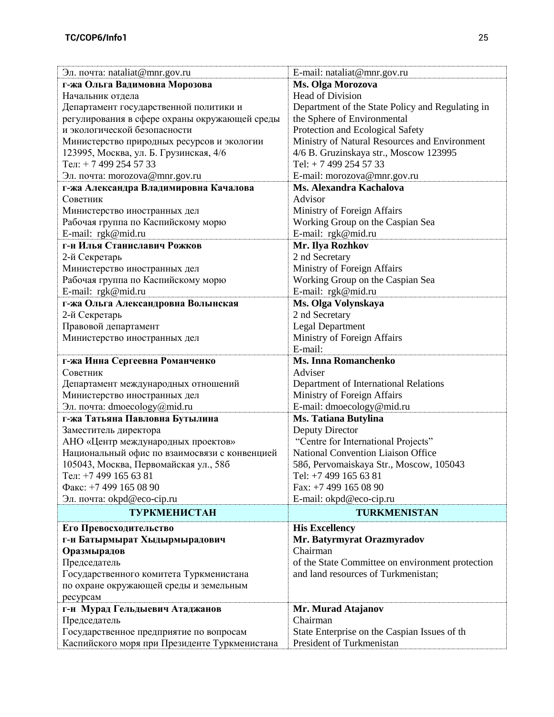| Эл. почта: nataliat@mnr.gov.ru                                 | E-mail: nataliat@mnr.gov.ru                                                             |  |
|----------------------------------------------------------------|-----------------------------------------------------------------------------------------|--|
| г-жа Ольга Вадимовна Морозова                                  | Ms. Olga Morozova                                                                       |  |
| Начальник отдела                                               | <b>Head of Division</b>                                                                 |  |
| Департамент государственной политики и                         | Department of the State Policy and Regulating in                                        |  |
| регулирования в сфере охраны окружающей среды                  | the Sphere of Environmental                                                             |  |
| и экологической безопасности                                   | Protection and Ecological Safety                                                        |  |
| Министерство природных ресурсов и экологии                     | Ministry of Natural Resources and Environment                                           |  |
| 123995, Москва, ул. Б. Грузинская, 4/6                         | 4/6 B. Gruzinskaya str., Moscow 123995                                                  |  |
| Тел: +7499 254 5733                                            | Tel: $+ 74992545733$                                                                    |  |
| Эл. почта: morozova@mnr.gov.ru                                 | E-mail: morozova@mnr.gov.ru                                                             |  |
| г-жа Александра Владимировна Качалова                          | Ms. Alexandra Kachalova                                                                 |  |
| Советник                                                       | Advisor                                                                                 |  |
| Министерство иностранных дел                                   | Ministry of Foreign Affairs                                                             |  |
| Рабочая группа по Каспийскому морю                             | Working Group on the Caspian Sea                                                        |  |
| E-mail: rgk@mid.ru                                             | E-mail: rgk@mid.ru                                                                      |  |
| г-н Илья Станиславич Рожков                                    | Mr. Ilya Rozhkov                                                                        |  |
| 2-й Секретарь                                                  | 2 nd Secretary                                                                          |  |
| Министерство иностранных дел                                   | Ministry of Foreign Affairs                                                             |  |
| Рабочая группа по Каспийскому морю                             | Working Group on the Caspian Sea                                                        |  |
| E-mail: rgk@mid.ru                                             | E-mail: rgk@mid.ru                                                                      |  |
| г-жа Ольга Александровна Волынская                             | Ms. Olga Volynskaya                                                                     |  |
| 2-й Секретарь                                                  | 2 nd Secretary                                                                          |  |
| Правовой департамент                                           | <b>Legal Department</b>                                                                 |  |
| Министерство иностранных дел                                   | Ministry of Foreign Affairs                                                             |  |
|                                                                | E-mail:                                                                                 |  |
| г-жа Инна Сергеевна Романченко                                 | <b>Ms. Inna Romanchenko</b>                                                             |  |
|                                                                |                                                                                         |  |
| Советник                                                       | Adviser                                                                                 |  |
|                                                                |                                                                                         |  |
| Департамент международных отношений                            | Department of International Relations                                                   |  |
| Министерство иностранных дел                                   | Ministry of Foreign Affairs                                                             |  |
| Эл. почта: dmoecology@mid.ru<br>г-жа Татьяна Павловна Бутылина | E-mail: dmoecology@mid.ru<br>Ms. Tatiana Butylina                                       |  |
| Заместитель директора                                          | Deputy Director                                                                         |  |
| АНО «Центр международных проектов»                             |                                                                                         |  |
| Национальный офис по взаимосвязи с конвенцией                  | "Centre for International Projects"<br><b>National Convention Liaison Office</b>        |  |
| 105043, Москва, Первомайская ул., 586                          | 586, Pervomaiskaya Str., Moscow, 105043                                                 |  |
| Тел: +7 499 165 63 81                                          | Tel: +7 499 165 63 81                                                                   |  |
| Факс: +7 499 165 08 90                                         | Fax: +7 499 165 08 90                                                                   |  |
| Эл. почта: okpd@eco-cip.ru                                     | E-mail: okpd@eco-cip.ru                                                                 |  |
| <b>ТУРКМЕНИСТАН</b>                                            | <b>TURKMENISTAN</b>                                                                     |  |
|                                                                |                                                                                         |  |
| Его Превосходительство                                         | <b>His Excellency</b>                                                                   |  |
| г-н Батырмырат Хыдырмырадович                                  | Mr. Batyrmyrat Orazmyradov<br>Chairman                                                  |  |
| Оразмырадов                                                    |                                                                                         |  |
| Председатель<br>Государственного комитета Туркменистана        | of the State Committee on environment protection<br>and land resources of Turkmenistan; |  |
| по охране окружающей среды и земельным                         |                                                                                         |  |
| ресурсам                                                       |                                                                                         |  |
|                                                                |                                                                                         |  |
| г-н Мурад Гельдыевич Атаджанов<br>Председатель                 | Mr. Murad Atajanov<br>Chairman                                                          |  |
| Государственное предприятие по вопросам                        | State Enterprise on the Caspian Issues of th                                            |  |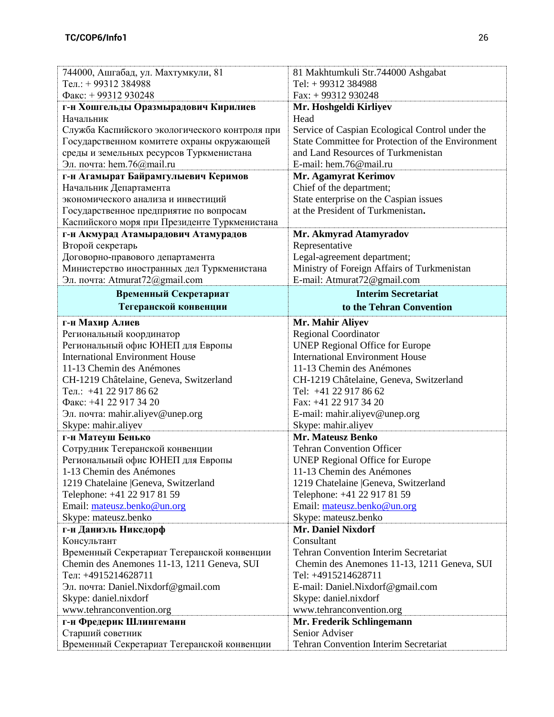| 744000, Ашгабад, ул. Махтумкули, 81            | 81 Makhtumkuli Str.744000 Ashgabat                |
|------------------------------------------------|---------------------------------------------------|
| Тел.: +99312 384988                            | Tel: +99312 384988                                |
| Факс: + 99312 930248                           | Fax: +99312930248                                 |
| г-н Хошгельды Оразмырадович Кирилиев           | Mr. Hoshgeldi Kirliyev                            |
| Начальник                                      | Head                                              |
| Служба Каспийского экологического контроля при | Service of Caspian Ecological Control under the   |
| Государственном комитете охраны окружающей     | State Committee for Protection of the Environment |
| среды и земельных ресурсов Туркменистана       | and Land Resources of Turkmenistan                |
| Эл. почта: hem.76@mail.ru                      | E-mail: hem.76@mail.ru                            |
| г-н Агамырат Байрамгулыевич Керимов            | <b>Mr. Agamyrat Kerimov</b>                       |
| Начальник Департамента                         | Chief of the department;                          |
| экономического анализа и инвестиций            | State enterprise on the Caspian issues            |
| Государственное предприятие по вопросам        | at the President of Turkmenistan.                 |
| Каспийского моря при Президенте Туркменистана  |                                                   |
| г-н Акмурад Атамырадович Атамурадов            | Mr. Akmyrad Atamyradov                            |
| Второй секретарь                               | Representative                                    |
| Договорно-правового департамента               | Legal-agreement department;                       |
| Министерство иностранных дел Туркменистана     | Ministry of Foreign Affairs of Turkmenistan       |
| Эл. почта: Atmurat72@gmail.com                 | E-mail: Atmurat72@gmail.com                       |
| Временный Секретариат                          | <b>Interim Secretariat</b>                        |
| Тегеранской конвенции                          | to the Tehran Convention                          |
| г-н Махир Алиев                                | Mr. Mahir Aliyev                                  |
| Региональный координатор                       | <b>Regional Coordinator</b>                       |
| Региональный офис ЮНЕП для Европы              | <b>UNEP Regional Office for Europe</b>            |
| <b>International Environment House</b>         | <b>International Environment House</b>            |
| 11-13 Chemin des Anémones                      | 11-13 Chemin des Anémones                         |
| CH-1219 Châtelaine, Geneva, Switzerland        | CH-1219 Châtelaine, Geneva, Switzerland           |
| Тел.: +41 22 917 86 62                         | Tel: +41 22 917 86 62                             |
| Факс: +41 22 917 34 20                         | Fax: +41 22 917 34 20                             |
| Эл. почта: mahir.aliyev@unep.org               | E-mail: mahir.aliyev@unep.org                     |
| Skype: mahir.aliyev                            | Skype: mahir.aliyev                               |
| г-н Матеуш Бенько                              | <b>Mr. Mateusz Benko</b>                          |
| Сотрудник Тегеранской конвенции                | <b>Tehran Convention Officer</b>                  |
| Региональный офис ЮНЕП для Европы              | <b>UNEP Regional Office for Europe</b>            |
| 1-13 Chemin des Anémones                       | 11-13 Chemin des Anémones                         |
| 1219 Chatelaine  Geneva, Switzerland           | 1219 Chatelaine  Geneva, Switzerland              |
| Telephone: +41 22 917 81 59                    | Telephone: +41 22 917 81 59                       |
| Email: mateusz.benko@un.org                    | Email: mateusz.benko@un.org                       |
| Skype: mateusz.benko                           | Skype: mateusz.benko                              |
| г-н Даниэль Никсдорф                           | <b>Mr. Daniel Nixdorf</b>                         |
| Консультант                                    | Consultant                                        |
| Временный Секретариат Тегеранской конвенции    | <b>Tehran Convention Interim Secretariat</b>      |
| Chemin des Anemones 11-13, 1211 Geneva, SUI    | Chemin des Anemones 11-13, 1211 Geneva, SUI       |
| Тел: +4915214628711                            | Tel: +4915214628711                               |
| Эл. почта: Daniel.Nixdorf@gmail.com            | E-mail: Daniel.Nixdorf@gmail.com                  |
| Skype: daniel.nixdorf                          | Skype: daniel.nixdorf                             |
| www.tehranconvention.org                       | www.tehranconvention.org                          |
| г-н Фредерик Шлингеманн                        | Mr. Frederik Schlingemann                         |
| Старший советник                               | Senior Adviser                                    |
| Временный Секретариат Тегеранской конвенции    | <b>Tehran Convention Interim Secretariat</b>      |